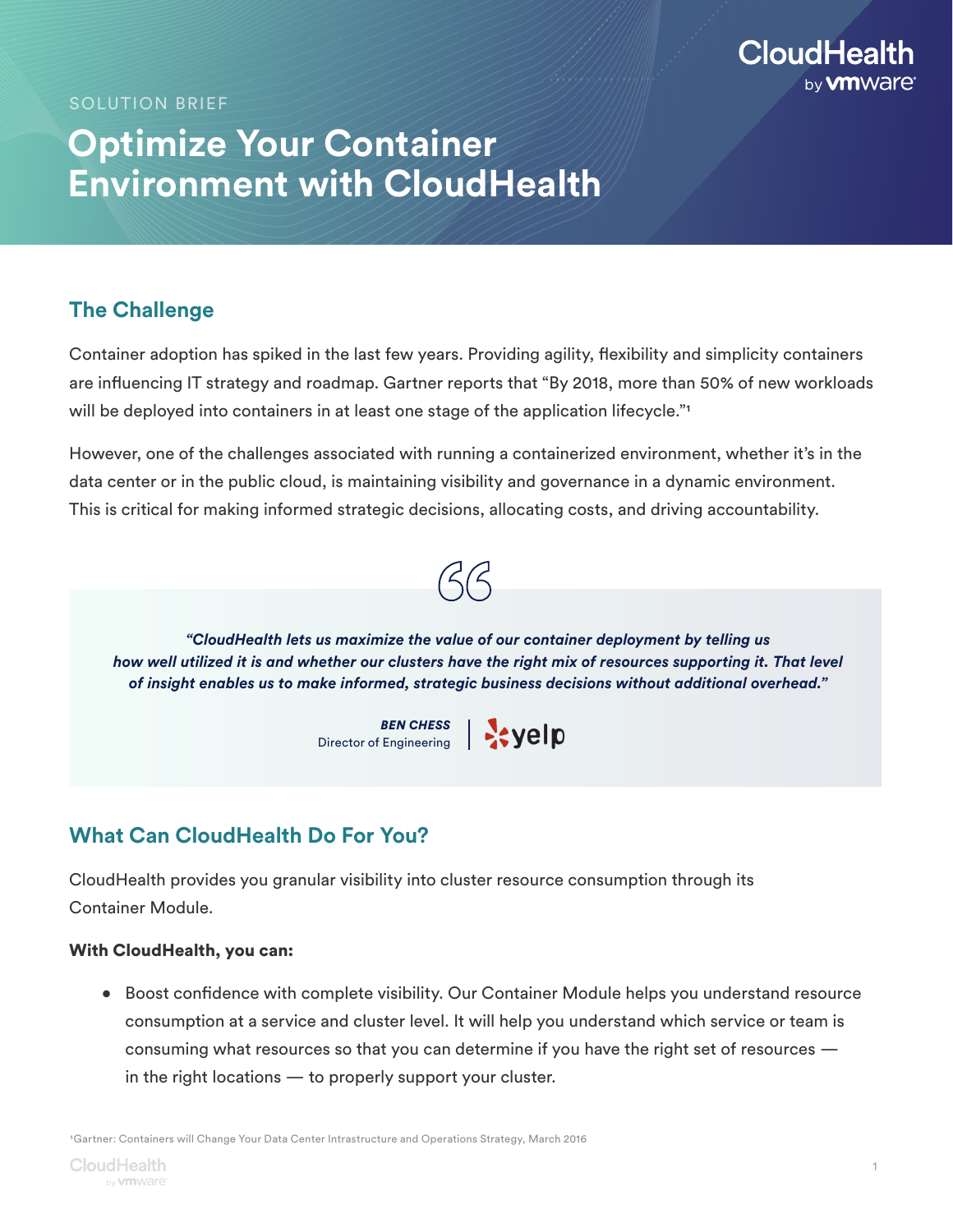

SOLUTION BRIEF

# **Optimize Your Container Environment with CloudHealth**

## **The Challenge**

Container adoption has spiked in the last few years. Providing agility, flexibility and simplicity containers are influencing IT strategy and roadmap. Gartner reports that "By 2018, more than 50% of new workloads will be deployed into containers in at least one stage of the application lifecycle."<sup>1</sup>

However, one of the challenges associated with running a containerized environment, whether it's in the data center or in the public cloud, is maintaining visibility and governance in a dynamic environment. This is critical for making informed strategic decisions, allocating costs, and driving accountability.



*"CloudHealth lets us maximize the value of our container deployment by telling us how well utilized it is and whether our clusters have the right mix of resources supporting it. That level of insight enables us to make informed, strategic business decisions without additional overhead."*

> *BEN CHESS* Director of Engineering

## **What Can CloudHealth Do For You?**

CloudHealth provides you granular visibility into cluster resource consumption through its Container Module.

#### With CloudHealth, you can:

• Boost confidence with complete visibility. Our Container Module helps you understand resource consumption at a service and cluster level. It will help you understand which service or team is consuming what resources so that you can determine if you have the right set of resources in the right locations — to properly support your cluster.

1Gartner: Containers will Change Your Data Center Intrastructure and Operations Strategy, March 2016